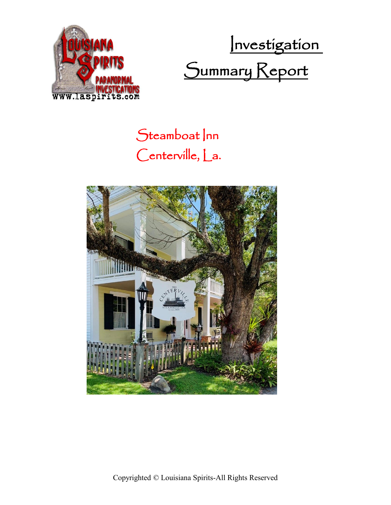

Investigation Summary Report

## Steamboat Inn Centerville, La.



Copyrighted © Louisiana Spirits-All Rights Reserved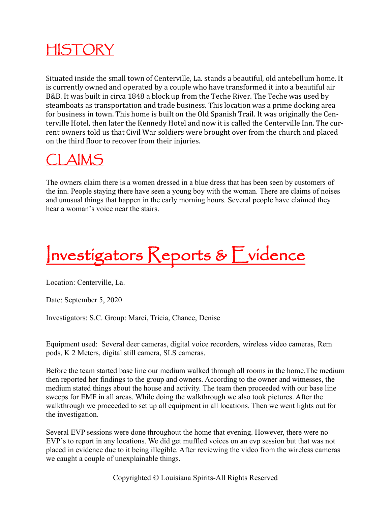

Situated inside the small town of Centerville, La. stands a beautiful, old antebellum home. It is currently owned and operated by a couple who have transformed it into a beautiful air B&B. It was built in circa 1848 a block up from the Teche River. The Teche was used by steamboats as transportation and trade business. This location was a prime docking area for business in town. This home is built on the Old Spanish Trail. It was originally the Centerville Hotel, then later the Kennedy Hotel and now it is called the Centerville Inn. The current owners told us that Civil War soldiers were brought over from the church and placed on the third floor to recover from their injuries.

### CLAIMS

The owners claim there is a women dressed in a blue dress that has been seen by customers of the inn. People staying there have seen a young boy with the woman. There are claims of noises and unusual things that happen in the early morning hours. Several people have claimed they hear a woman's voice near the stairs.

# Investigators Reports & Evidence

Location: Centerville, La.

Date: September 5, 2020

Investigators: S.C. Group: Marci, Tricia, Chance, Denise

Equipment used: Several deer cameras, digital voice recorders, wireless video cameras, Rem pods, K 2 Meters, digital still camera, SLS cameras.

Before the team started base line our medium walked through all rooms in the home.The medium then reported her findings to the group and owners. According to the owner and witnesses, the medium stated things about the house and activity. The team then proceeded with our base line sweeps for EMF in all areas. While doing the walkthrough we also took pictures. After the walkthrough we proceeded to set up all equipment in all locations. Then we went lights out for the investigation.

Several EVP sessions were done throughout the home that evening. However, there were no EVP's to report in any locations. We did get muffled voices on an evp session but that was not placed in evidence due to it being illegible. After reviewing the video from the wireless cameras we caught a couple of unexplainable things.

Copyrighted © Louisiana Spirits-All Rights Reserved